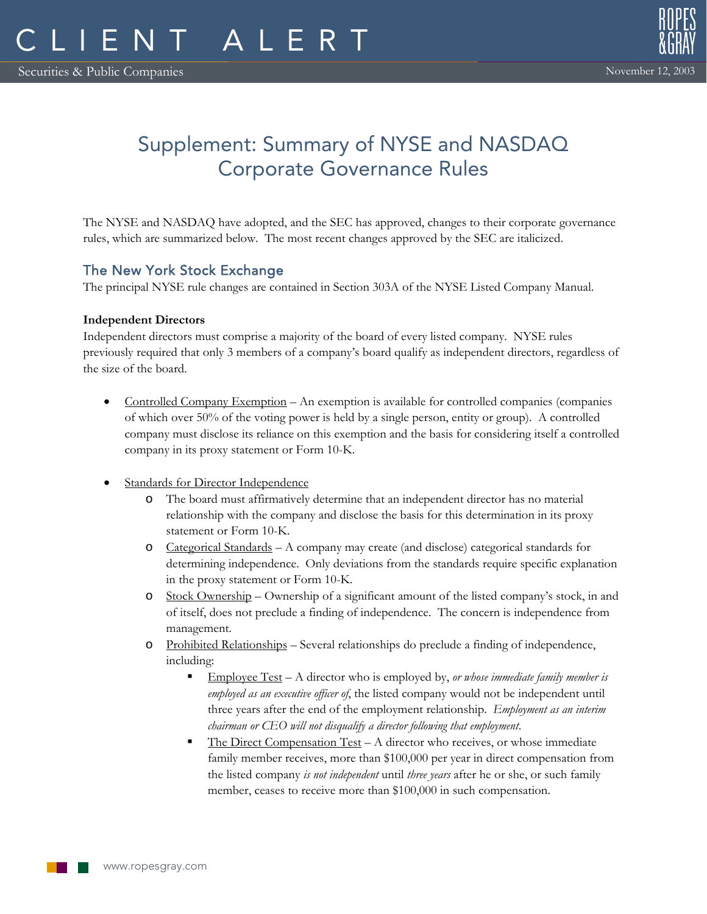# Supplement: Summary of NYSE and NASDAQ Corporate Governance Rules

The NYSE and NASDAQ have adopted, and the SEC has approved, changes to their corporate governance rules, which are summarized below. The most recent changes approved by the SEC are italicized.

# The New York Stock Exchange

The principal NYSE rule changes are contained in Section 303A of the NYSE Listed Company Manual.

# **Independent Directors**

Independent directors must comprise a majority of the board of every listed company. NYSE rules previously required that only 3 members of a company's board qualify as independent directors, regardless of the size of the board.

- Controlled Company Exemption An exemption is available for controlled companies (companies of which over 50% of the voting power is held by a single person, entity or group). A controlled company must disclose its reliance on this exemption and the basis for considering itself a controlled company in its proxy statement or Form 10-K.
- **Standards for Director Independence** 
	- o The board must affirmatively determine that an independent director has no material relationship with the company and disclose the basis for this determination in its proxy statement or Form 10-K.
	- o Categorical Standards A company may create (and disclose) categorical standards for determining independence. Only deviations from the standards require specific explanation in the proxy statement or Form 10-K.
	- o Stock Ownership Ownership of a significant amount of the listed company's stock, in and of itself, does not preclude a finding of independence. The concern is independence from management.
	- o Prohibited Relationships Several relationships do preclude a finding of independence, including:
		- Employee Test A director who is employed by, *or whose immediate family member is employed as an executive officer of*, the listed company would not be independent until three years after the end of the employment relationship. *Employment as an interim chairman or CEO will not disqualify a director following that employment*.
		- The Direct Compensation Test A director who receives, or whose immediate family member receives, more than \$100,000 per year in direct compensation from the listed company *is not independent* until *three years* after he or she, or such family member, ceases to receive more than \$100,000 in such compensation.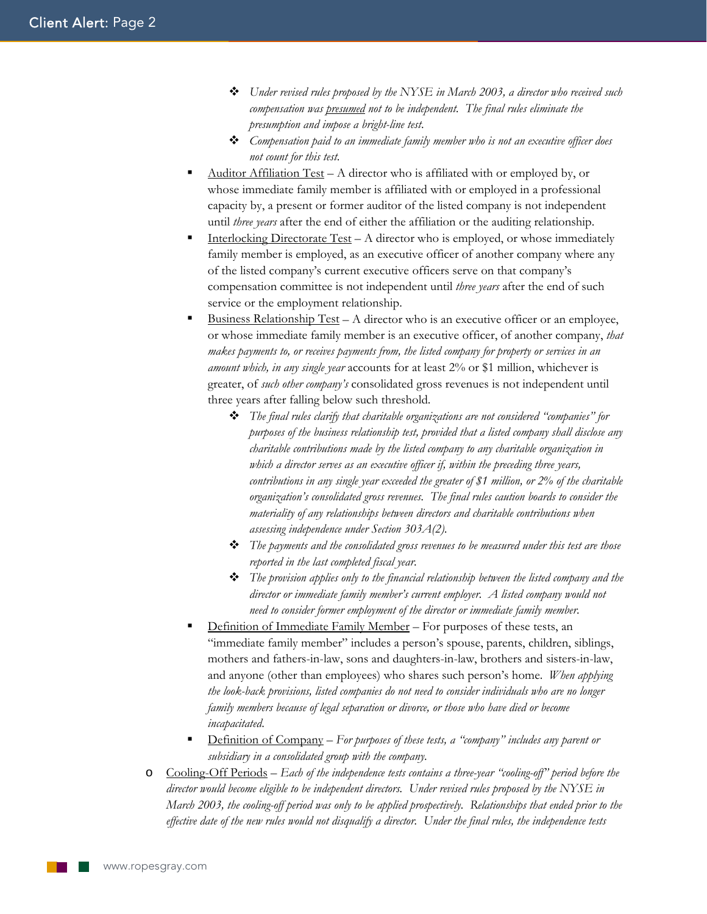- *Under revised rules proposed by the NYSE in March 2003, a director who received such compensation was presumed not to be independent. The final rules eliminate the presumption and impose a bright-line test*.
- *Compensation paid to an immediate family member who is not an executive officer does not count for this test*.
- Auditor Affiliation Test A director who is affiliated with or employed by, or whose immediate family member is affiliated with or employed in a professional capacity by, a present or former auditor of the listed company is not independent until *three years* after the end of either the affiliation or the auditing relationship.
- Interlocking Directorate Test A director who is employed, or whose immediately family member is employed, as an executive officer of another company where any of the listed company's current executive officers serve on that company's compensation committee is not independent until *three years* after the end of such service or the employment relationship.
- Business Relationship Test A director who is an executive officer or an employee, or whose immediate family member is an executive officer, of another company, *that makes payments to, or receives payments from, the listed company for property or services in an amount which, in any single year* accounts for at least 2% or \$1 million, whichever is greater, of *such other company's* consolidated gross revenues is not independent until three years after falling below such threshold.
	- *The final rules clarify that charitable organizations are not considered "companies" for purposes of the business relationship test, provided that a listed company shall disclose any charitable contributions made by the listed company to any charitable organization in which a director serves as an executive officer if, within the preceding three years, contributions in any single year exceeded the greater of \$1 million, or 2% of the charitable organization's consolidated gross revenues. The final rules caution boards to consider the materiality of any relationships between directors and charitable contributions when assessing independence under Section 303A(2).*
	- *The payments and the consolidated gross revenues to be measured under this test are those reported in the last completed fiscal year*.
	- *The provision applies only to the financial relationship between the listed company and the director or immediate family member's current employer. A listed company would not need to consider former employment of the director or immediate family member*.
- Definition of Immediate Family Member For purposes of these tests, an "immediate family member" includes a person's spouse, parents, children, siblings, mothers and fathers-in-law, sons and daughters-in-law, brothers and sisters-in-law, and anyone (other than employees) who shares such person's home. *When applying the look-back provisions, listed companies do not need to consider individuals who are no longer family members because of legal separation or divorce, or those who have died or become incapacitated*.
- Definition of Company *For purposes of these tests, a "company" includes any parent or subsidiary in a consolidated group with the company*.
- o Cooling-Off Periods *Each of the independence tests contains a three-year "cooling-off" period before the director would become eligible to be independent directors. Under revised rules proposed by the NYSE in March 2003, the cooling-off period was only to be applied prospectively. Relationships that ended prior to the effective date of the new rules would not disqualify a director. Under the final rules, the independence tests*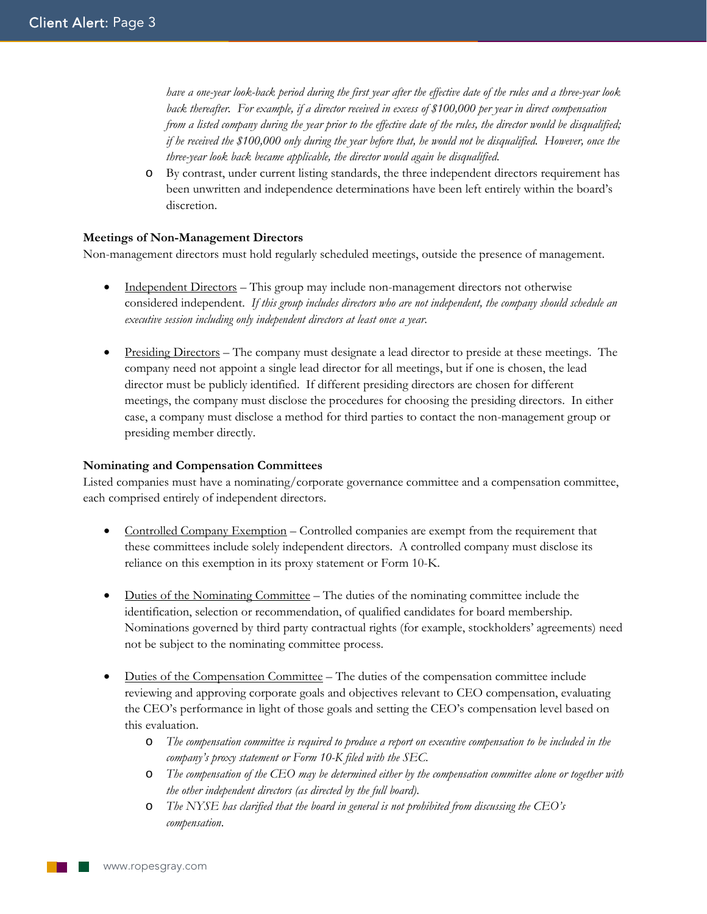*have a one-year look-back period during the first year after the effective date of the rules and a three-year look back thereafter. For example, if a director received in excess of \$100,000 per year in direct compensation from a listed company during the year prior to the effective date of the rules, the director would be disqualified; if he received the \$100,000 only during the year before that, he would not be disqualified. However, once the three-year look back became applicable, the director would again be disqualified*.

o By contrast, under current listing standards, the three independent directors requirement has been unwritten and independence determinations have been left entirely within the board's discretion.

#### **Meetings of Non-Management Directors**

Non-management directors must hold regularly scheduled meetings, outside the presence of management.

- Independent Directors This group may include non-management directors not otherwise considered independent. *If this group includes directors who are not independent, the company should schedule an executive session including only independent directors at least once a year*.
- Presiding Directors The company must designate a lead director to preside at these meetings. The company need not appoint a single lead director for all meetings, but if one is chosen, the lead director must be publicly identified. If different presiding directors are chosen for different meetings, the company must disclose the procedures for choosing the presiding directors. In either case, a company must disclose a method for third parties to contact the non-management group or presiding member directly.

#### **Nominating and Compensation Committees**

Listed companies must have a nominating/corporate governance committee and a compensation committee, each comprised entirely of independent directors.

- Controlled Company Exemption Controlled companies are exempt from the requirement that these committees include solely independent directors. A controlled company must disclose its reliance on this exemption in its proxy statement or Form 10-K.
- Duties of the Nominating Committee The duties of the nominating committee include the identification, selection or recommendation, of qualified candidates for board membership. Nominations governed by third party contractual rights (for example, stockholders' agreements) need not be subject to the nominating committee process.
- Duties of the Compensation Committee The duties of the compensation committee include reviewing and approving corporate goals and objectives relevant to CEO compensation, evaluating the CEO's performance in light of those goals and setting the CEO's compensation level based on this evaluation.
	- o *The compensation committee is required to produce a report on executive compensation to be included in the company's proxy statement or Form 10-K filed with the SEC*.
	- o *The compensation of the CEO may be determined either by the compensation committee alone or together with the other independent directors (as directed by the full board)*.
	- o *The NYSE has clarified that the board in general is not prohibited from discussing the CEO's compensation*.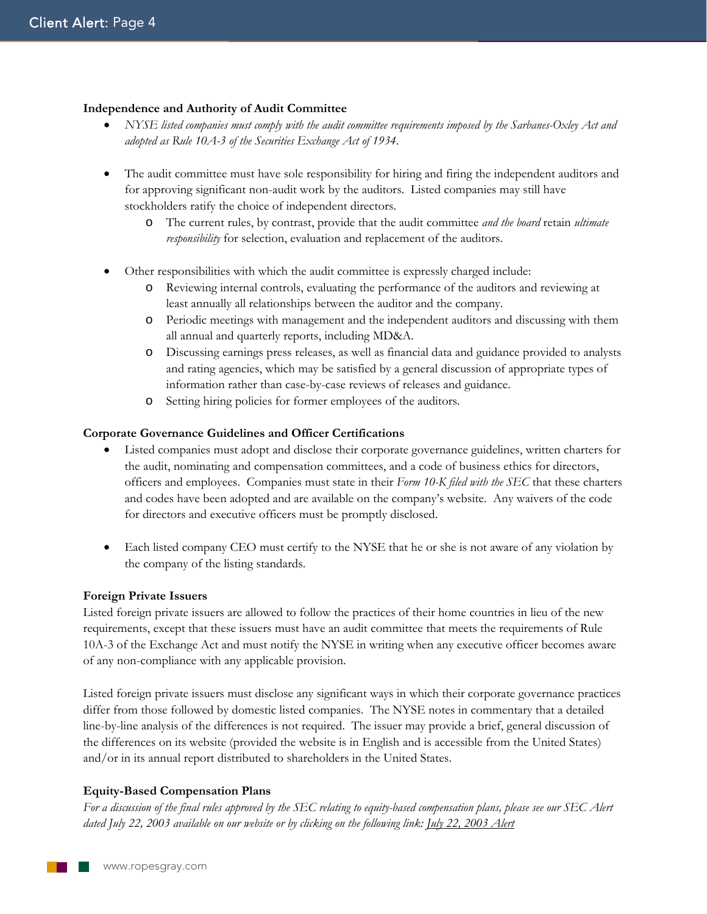# **Independence and Authority of Audit Committee**

- *NYSE listed companies must comply with the audit committee requirements imposed by the Sarbanes-Oxley Act and adopted as Rule 10A-3 of the Securities Exchange Act of 1934*.
- The audit committee must have sole responsibility for hiring and firing the independent auditors and for approving significant non-audit work by the auditors. Listed companies may still have stockholders ratify the choice of independent directors.
	- o The current rules, by contrast, provide that the audit committee *and the board* retain *ultimate responsibility* for selection, evaluation and replacement of the auditors.
- Other responsibilities with which the audit committee is expressly charged include:
	- o Reviewing internal controls, evaluating the performance of the auditors and reviewing at least annually all relationships between the auditor and the company.
	- o Periodic meetings with management and the independent auditors and discussing with them all annual and quarterly reports, including MD&A.
	- o Discussing earnings press releases, as well as financial data and guidance provided to analysts and rating agencies, which may be satisfied by a general discussion of appropriate types of information rather than case-by-case reviews of releases and guidance.
	- o Setting hiring policies for former employees of the auditors.

#### **Corporate Governance Guidelines and Officer Certifications**

- Listed companies must adopt and disclose their corporate governance guidelines, written charters for the audit, nominating and compensation committees, and a code of business ethics for directors, officers and employees. Companies must state in their *Form 10-K filed with the SEC* that these charters and codes have been adopted and are available on the company's website. Any waivers of the code for directors and executive officers must be promptly disclosed.
- Each listed company CEO must certify to the NYSE that he or she is not aware of any violation by the company of the listing standards.

#### **Foreign Private Issuers**

Listed foreign private issuers are allowed to follow the practices of their home countries in lieu of the new requirements, except that these issuers must have an audit committee that meets the requirements of Rule 10A-3 of the Exchange Act and must notify the NYSE in writing when any executive officer becomes aware of any non-compliance with any applicable provision.

Listed foreign private issuers must disclose any significant ways in which their corporate governance practices differ from those followed by domestic listed companies. The NYSE notes in commentary that a detailed line-by-line analysis of the differences is not required. The issuer may provide a brief, general discussion of the differences on its website (provided the website is in English and is accessible from the United States) and/or in its annual report distributed to shareholders in the United States.

#### **Equity-Based Compensation Plans**

*For a discussion of the final rules approved by the SEC relating to equity-based compensation plans, please see our SEC Alert dated July 22, 2003 available on our website or by clicking on the following link: July 22, 2003 Alert*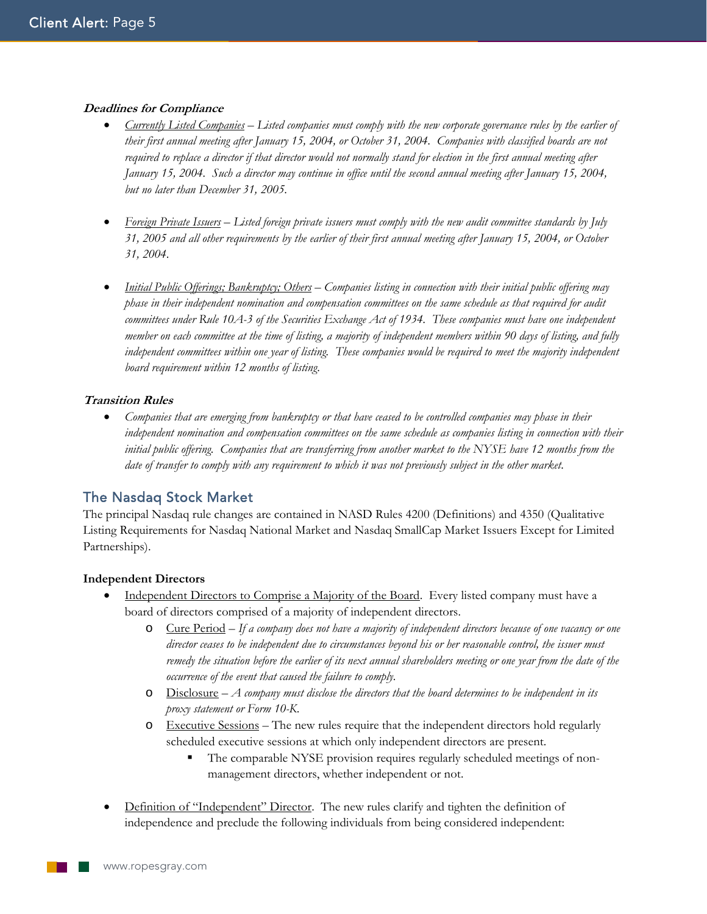# **Deadlines for Compliance**

- *Currently Listed Companies Listed companies must comply with the new corporate governance rules by the earlier of their first annual meeting after January 15, 2004, or October 31, 2004. Companies with classified boards are not required to replace a director if that director would not normally stand for election in the first annual meeting after January 15, 2004. Such a director may continue in office until the second annual meeting after January 15, 2004, but no later than December 31, 2005*.
- *Foreign Private Issuers Listed foreign private issuers must comply with the new audit committee standards by July 31, 2005 and all other requirements by the earlier of their first annual meeting after January 15, 2004, or October 31, 2004*.
- *Initial Public Offerings; Bankruptcy; Others Companies listing in connection with their initial public offering may phase in their independent nomination and compensation committees on the same schedule as that required for audit committees under Rule 10A-3 of the Securities Exchange Act of 1934. These companies must have one independent member on each committee at the time of listing, a majority of independent members within 90 days of listing, and fully*  independent committees within one year of listing. These companies would be required to meet the majority independent *board requirement within 12 months of listing*.

# **Transition Rules**

• *Companies that are emerging from bankruptcy or that have ceased to be controlled companies may phase in their independent nomination and compensation committees on the same schedule as companies listing in connection with their initial public offering. Companies that are transferring from another market to the NYSE have 12 months from the date of transfer to comply with any requirement to which it was not previously subject in the other market*.

# The Nasdaq Stock Market

The principal Nasdaq rule changes are contained in NASD Rules 4200 (Definitions) and 4350 (Qualitative Listing Requirements for Nasdaq National Market and Nasdaq SmallCap Market Issuers Except for Limited Partnerships).

#### **Independent Directors**

- Independent Directors to Comprise a Majority of the Board. Every listed company must have a board of directors comprised of a majority of independent directors.
	- o Cure Period *If a company does not have a majority of independent directors because of one vacancy or one director ceases to be independent due to circumstances beyond his or her reasonable control, the issuer must remedy the situation before the earlier of its next annual shareholders meeting or one year from the date of the occurrence of the event that caused the failure to comply*.
	- o Disclosure *A company must disclose the directors that the board determines to be independent in its proxy statement or Form 10-K*.
	- o Executive Sessions The new rules require that the independent directors hold regularly scheduled executive sessions at which only independent directors are present.
		- The comparable NYSE provision requires regularly scheduled meetings of nonmanagement directors, whether independent or not.
- Definition of "Independent" Director. The new rules clarify and tighten the definition of independence and preclude the following individuals from being considered independent: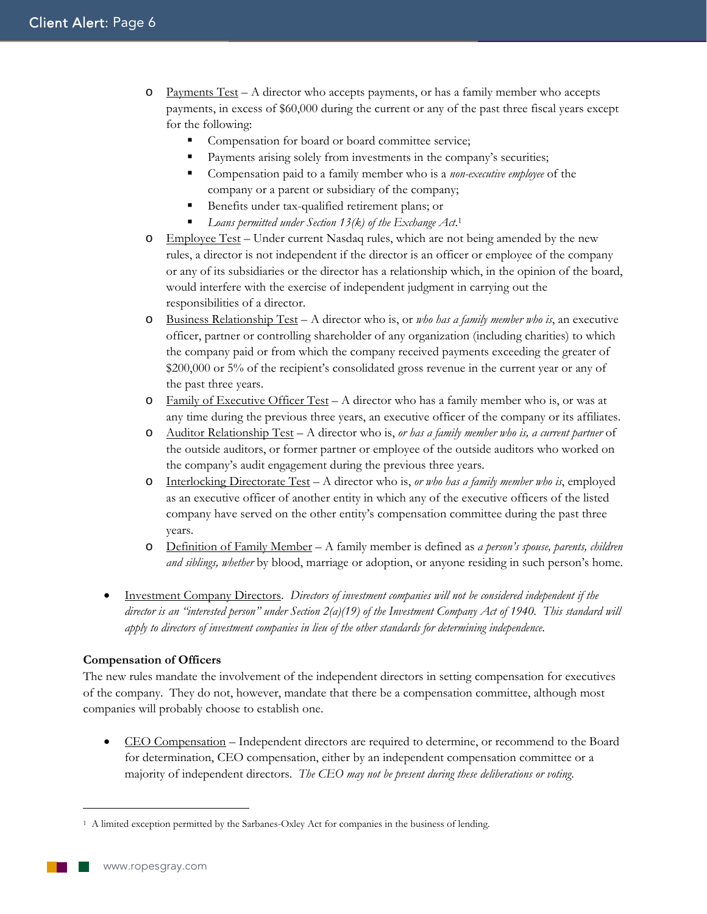- $\circ$  Payments Test A director who accepts payments, or has a family member who accepts payments, in excess of \$60,000 during the current or any of the past three fiscal years except for the following:
	- **Compensation for board or board committee service;**
	- **Payments arising solely from investments in the company's securities;**
	- Compensation paid to a family member who is a *non-executive employee* of the company or a parent or subsidiary of the company;
	- Benefits under tax-qualified retirement plans; or
	- *Loans permitted under Section 13(k) of the Exchange Act*. 1
- o Employee Test Under current Nasdaq rules, which are not being amended by the new rules, a director is not independent if the director is an officer or employee of the company or any of its subsidiaries or the director has a relationship which, in the opinion of the board, would interfere with the exercise of independent judgment in carrying out the responsibilities of a director.
- o Business Relationship Test A director who is, or *who has a family member who is*, an executive officer, partner or controlling shareholder of any organization (including charities) to which the company paid or from which the company received payments exceeding the greater of \$200,000 or 5% of the recipient's consolidated gross revenue in the current year or any of the past three years.
- $\circ$  Family of Executive Officer Test A director who has a family member who is, or was at any time during the previous three years, an executive officer of the company or its affiliates.
- o Auditor Relationship Test A director who is, *or has a family member who is, a current partner* of the outside auditors, or former partner or employee of the outside auditors who worked on the company's audit engagement during the previous three years.
- o Interlocking Directorate Test A director who is, *or who has a family member who is*, employed as an executive officer of another entity in which any of the executive officers of the listed company have served on the other entity's compensation committee during the past three years.
- o Definition of Family Member A family member is defined as *a person's spouse, parents, children and siblings, whether* by blood, marriage or adoption, or anyone residing in such person's home.
- Investment Company Directors. *Directors of investment companies will not be considered independent if the director is an "interested person" under Section 2(a)(19) of the Investment Company Act of 1940. This standard will apply to directors of investment companies in lieu of the other standards for determining independence*.

#### **Compensation of Officers**

The new rules mandate the involvement of the independent directors in setting compensation for executives of the company. They do not, however, mandate that there be a compensation committee, although most companies will probably choose to establish one.

• CEO Compensation – Independent directors are required to determine, or recommend to the Board for determination, CEO compensation, either by an independent compensation committee or a majority of independent directors. *The CEO may not be present during these deliberations or voting*.

 $\overline{a}$ 

<sup>1</sup> A limited exception permitted by the Sarbanes-Oxley Act for companies in the business of lending.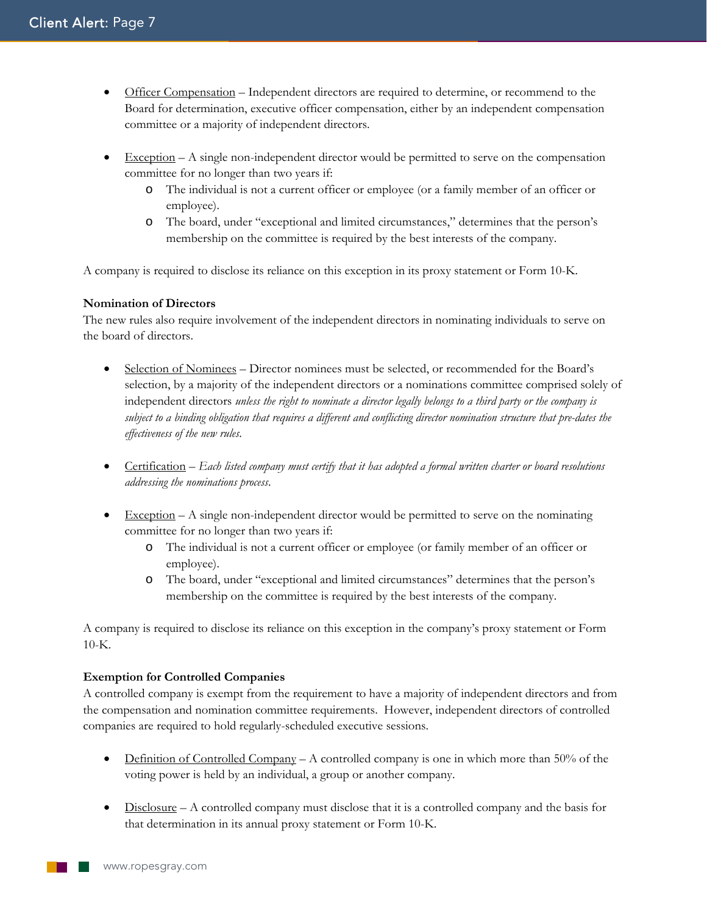- Officer Compensation Independent directors are required to determine, or recommend to the Board for determination, executive officer compensation, either by an independent compensation committee or a majority of independent directors.
- Exception  $-A$  single non-independent director would be permitted to serve on the compensation committee for no longer than two years if:
	- o The individual is not a current officer or employee (or a family member of an officer or employee).
	- o The board, under "exceptional and limited circumstances," determines that the person's membership on the committee is required by the best interests of the company.

A company is required to disclose its reliance on this exception in its proxy statement or Form 10-K.

# **Nomination of Directors**

The new rules also require involvement of the independent directors in nominating individuals to serve on the board of directors.

- Selection of Nominees Director nominees must be selected, or recommended for the Board's selection, by a majority of the independent directors or a nominations committee comprised solely of independent directors *unless the right to nominate a director legally belongs to a third party or the company is subject to a binding obligation that requires a different and conflicting director nomination structure that pre-dates the effectiveness of the new rules*.
- Certification *Each listed company must certify that it has adopted a formal written charter or board resolutions addressing the nominations process*.
- $\bullet$  Exception A single non-independent director would be permitted to serve on the nominating committee for no longer than two years if:
	- o The individual is not a current officer or employee (or family member of an officer or employee).
	- o The board, under "exceptional and limited circumstances" determines that the person's membership on the committee is required by the best interests of the company.

A company is required to disclose its reliance on this exception in the company's proxy statement or Form  $10-K$ .

#### **Exemption for Controlled Companies**

A controlled company is exempt from the requirement to have a majority of independent directors and from the compensation and nomination committee requirements. However, independent directors of controlled companies are required to hold regularly-scheduled executive sessions.

- Definition of Controlled Company A controlled company is one in which more than 50% of the voting power is held by an individual, a group or another company.
- Disclosure A controlled company must disclose that it is a controlled company and the basis for that determination in its annual proxy statement or Form 10-K.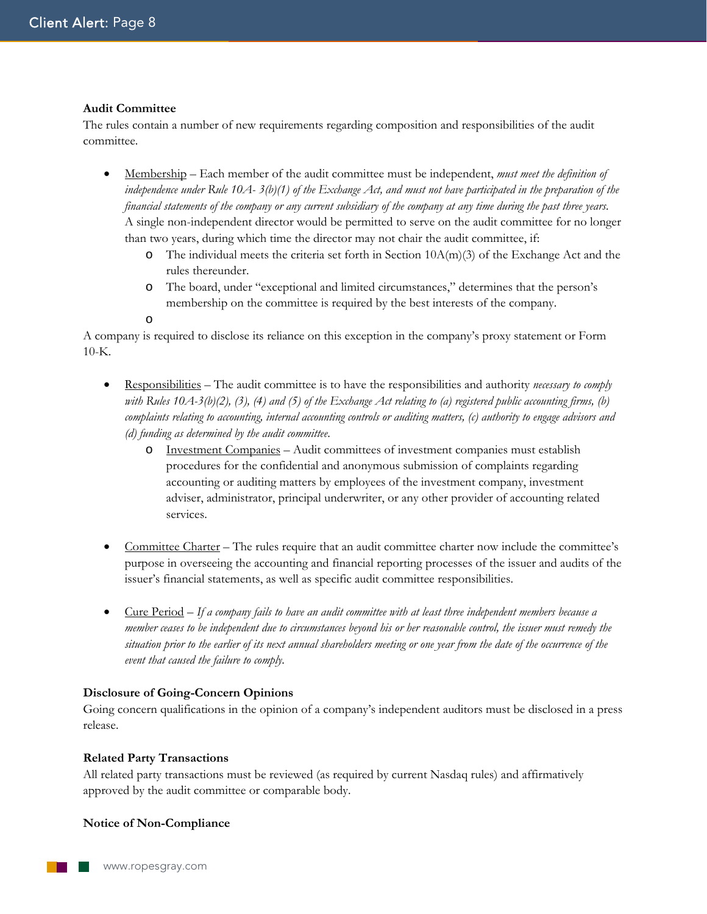#### **Audit Committee**

The rules contain a number of new requirements regarding composition and responsibilities of the audit committee.

- Membership Each member of the audit committee must be independent, *must meet the definition of independence under Rule 10A- 3(b)(1) of the Exchange Act, and must not have participated in the preparation of the financial statements of the company or any current subsidiary of the company at any time during the past three years*. A single non-independent director would be permitted to serve on the audit committee for no longer than two years, during which time the director may not chair the audit committee, if:
	- $\circ$  The individual meets the criteria set forth in Section 10A(m)(3) of the Exchange Act and the rules thereunder.
	- o The board, under "exceptional and limited circumstances," determines that the person's membership on the committee is required by the best interests of the company.
	- o

A company is required to disclose its reliance on this exception in the company's proxy statement or Form 10-K.

- Responsibilities The audit committee is to have the responsibilities and authority *necessary to comply with Rules 10A-3(b)(2), (3), (4) and (5) of the Exchange Act relating to (a) registered public accounting firms, (b) complaints relating to accounting, internal accounting controls or auditing matters, (c) authority to engage advisors and (d) funding as determined by the audit committee*.
	- o Investment Companies Audit committees of investment companies must establish procedures for the confidential and anonymous submission of complaints regarding accounting or auditing matters by employees of the investment company, investment adviser, administrator, principal underwriter, or any other provider of accounting related services.
- Committee Charter The rules require that an audit committee charter now include the committee's purpose in overseeing the accounting and financial reporting processes of the issuer and audits of the issuer's financial statements, as well as specific audit committee responsibilities.
- Cure Period *If a company fails to have an audit committee with at least three independent members because a member ceases to be independent due to circumstances beyond his or her reasonable control, the issuer must remedy the situation prior to the earlier of its next annual shareholders meeting or one year from the date of the occurrence of the event that caused the failure to comply*.

# **Disclosure of Going-Concern Opinions**

Going concern qualifications in the opinion of a company's independent auditors must be disclosed in a press release.

#### **Related Party Transactions**

All related party transactions must be reviewed (as required by current Nasdaq rules) and affirmatively approved by the audit committee or comparable body.

# **Notice of Non-Compliance**